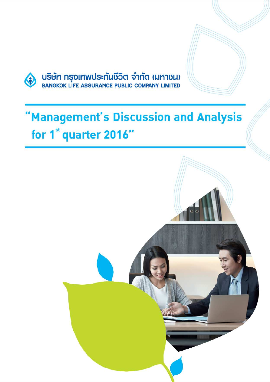

# "Management's Discussion and Analysis for 1<sup>st</sup> quarter 2016"

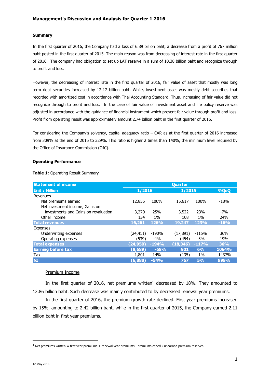## **Summary**

In the first quarter of 2016, the Company had a loss of 6.89 billion baht, a decrease from a profit of 767 million baht posted in the first quarter of 2015. The main reason was from decreasing of interest rate in the first quarter of 2016. The company had obligation to set up LAT reserve in a sum of 10.38 billion baht and recognize through to profit and loss.

However, the decreasing of interest rate in the first quarter of 2016, fair value of asset that mostly was long term debt securities increased by 12.17 billion baht. While, investment asset was mostly debt securities that recorded with amortized cost in accordance with Thai Accounting Standard. Thus, increasing of fair value did not recognize through to profit and loss. In the case of fair value of investment asset and life policy reserve was adjusted in accordance with the guidance of financial instrument which present fair value through profit and loss. Profit from operating result was approximately amount 2.74 billion baht in the first quarter of 2016.

For considering the Company's solvency, capital adequacy ratio – CAR as at the first quarter of 2016 increased from 309% at the end of 2015 to 329%. This ratio is higher 2 times than 140%, the minimum level required by the Office of Insurance Commission (OIC).

#### **Operating Performance**

| <b>Statement of income</b>           | <b>Quarter</b> |             |           |             |          |
|--------------------------------------|----------------|-------------|-----------|-------------|----------|
| Unit: Million                        | 1/2016         |             | 1/2015    |             | %QoQ     |
| Revenues                             |                |             |           |             |          |
| Net premiums earned                  | 12,856         | 100%        | 15,617    | 100%        | $-18%$   |
| Net investment income, Gains on      |                |             |           |             |          |
| investments and Gains on revaluation | 3,270          | 25%         | 3,522     | 23%         | $-7%$    |
| Other income                         | 134            | $1\%$       | 108       | $1\%$       | 24%      |
| <b>Total revenues</b>                | 16,261         | <b>126%</b> | 19,247    | <b>123%</b> | $-16%$   |
| <b>Expenses</b>                      |                |             |           |             |          |
| Underwriting expenses                | (24,411)       | -190%       | (17, 891) | $-115%$     | 36%      |
| Operating expenses                   | (539)          | $-4%$       | (454)     | $-3%$       | 19%      |
| <b>Total expenses</b>                | (24, 950)      | $-194%$     | (18, 346) | $-117%$     | 36%      |
| <b>Earning before tax</b>            | (8,689)        | $-68%$      | 901       | 6%          | 1064%    |
| Tax                                  | 1,801          | 14%         | (135)     | $-1\%$      | $-1437%$ |
| <b>NI</b>                            | (6,888)        | $-54%$      | 767       | 5%          | 999%     |

#### **Table 1**: Operating Result Summary

#### Premium Income

In the first quarter of 2016, net premiums written<sup>1</sup> decreased by 18%. They amounted to 12.86 billion baht. Such decrease was mainly contributed to by decreased renewal year premiums.

In the first quarter of 2016, the premium growth rate declined. First year premiums increased by 15%, amounting to 2.42 billion baht, while in the first quarter of 2015, the Company earned 2.11 billion baht in first year premiums.

l

<sup>&</sup>lt;sup>1</sup> Net premiums written = first year premiums + renewal year premiums - premiums ceded ± unearned premium reserves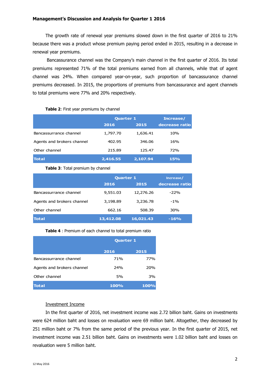## **Management's Discussion and Analysis for Quarter 1 2016**

The growth rate of renewal year premiums slowed down in the first quarter of 2016 to 21% because there was a product whose premium paying period ended in 2015, resulting in a decrease in renewal year premiums.

 Bancassurance channel was the Company's main channel in the first quarter of 2016. Its total premiums represented 71% of the total premiums earned from all channels, while that of agent channel was 24%. When compared year-on-year, such proportion of bancassurance channel premiums decreased. In 2015, the proportions of premiums from bancassurance and agent channels to total premiums were 77% and 20% respectively.

#### **Table 2**: First year premiums by channel

|                            |          | <b>Quarter 1</b> |                |  |
|----------------------------|----------|------------------|----------------|--|
|                            | 2016     | 2015             | decrease ratio |  |
| Bancassurrance channel     | 1,797.70 | 1,636.41         | 10%            |  |
| Agents and brokers channel | 402.95   | 346.06           | 16%            |  |
| Other channel              | 215.89   | 125.47           | <b>72%</b>     |  |
| <b>Total</b>               | 2,416.55 | 2,107.94         | 15%            |  |

#### **Table 3**: Total premium by channel

|                            | <b>Quarter 1</b> | Increase/ |                |
|----------------------------|------------------|-----------|----------------|
|                            | 2016             | 2015      | decrease ratio |
| Bancassurrance channel     | 9,551.03         | 12,276.26 | $-22%$         |
| Agents and brokers channel | 3,198.89         | 3,236.78  | $-1\%$         |
| Other channel              | 662.16           | 508.39    | 30%            |
| <b>Total</b>               | 13,412.08        | 16,021.43 | $-16%$         |

## **Table 4** : Premium of each channel to total premium ratio

|                            | <b>Quarter 1</b> |             |  |  |
|----------------------------|------------------|-------------|--|--|
|                            | 2016             | 2015        |  |  |
| Bancassurrance channel     | 71%              | 77%         |  |  |
| Agents and brokers channel | 24%              | 20%         |  |  |
| Other channel              | 5%               | 3%          |  |  |
| <b>Total</b>               | <b>100%</b>      | <b>100%</b> |  |  |

## Investment Income

In the first quarter of 2016, net investment income was 2.72 billion baht. Gains on investments were 624 million baht and losses on revaluation were 69 million baht. Altogether, they decreased by 251 million baht or 7% from the same period of the previous year. In the first quarter of 2015, net investment income was 2.51 billion baht. Gains on investments were 1.02 billion baht and losses on revaluation were 5 million baht.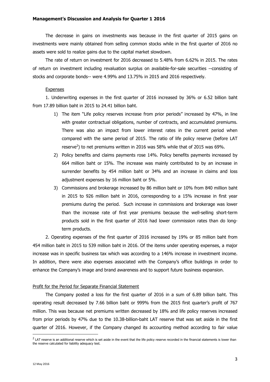The decrease in gains on investments was because in the first quarter of 2015 gains on investments were mainly obtained from selling common stocks while in the first quarter of 2016 no assets were sold to realize gains due to the capital market slowdown.

The rate of return on investment for 2016 decreased to 5.48% from 6.62% in 2015. The rates of return on investment including revaluation surplus on available-for-sale securities --consisting of stocks and corporate bonds-- were 4.99% and 13.75% in 2015 and 2016 respectively.

#### Expenses

1. Underwriting expenses in the first quarter of 2016 increased by 36% or 6.52 billion baht from 17.89 billion baht in 2015 to 24.41 billion baht.

- 1) The item "Life policy reserves increase from prior periods" increased by 47%, in line with greater contractual obligations, number of contracts, and accumulated premiums. There was also an impact from lower interest rates in the current period when compared with the same period of 2015. The ratio of life policy reserve (before LAT reserve<sup>2</sup>) to net premiums written in 2016 was 58% while that of 2015 was 69%.
- 2) Policy benefits and claims payments rose 14%. Policy benefits payments increased by 664 million baht or 15%. The increase was mainly contributed to by an increase in surrender benefits by 454 million baht or 34% and an increase in claims and loss adjustment expenses by 16 million baht or 5%.
- 3) Commissions and brokerage increased by 86 million baht or 10% from 840 million baht in 2015 to 926 million baht in 2016, corresponding to a 15% increase in first year premiums during the period. Such increase in commissions and brokerage was lower than the increase rate of first year premiums because the well-selling short-term products sold in the first quarter of 2016 had lower commission rates than do longterm products.

2. Operating expenses of the first quarter of 2016 increased by 19% or 85 million baht from 454 million baht in 2015 to 539 million baht in 2016. Of the items under operating expenses, a major increase was in specific business tax which was according to a 146% increase in investment income. In addition, there were also expenses associated with the Company's office buildings in order to enhance the Company's image and brand awareness and to support future business expansion.

#### Profit for the Period for Separate Financial Statement

The Company posted a loss for the first quarter of 2016 in a sum of 6.89 billion baht. This operating result decreased by 7.66 billion baht or 999% from the 2015 first quarter's profit of 767 million. This was because net premiums written decreased by 18% and life policy reserves increased from prior periods by 47% due to the 10.38-billion-baht LAT reserve that was set aside in the first quarter of 2016. However, if the Company changed its accounting method according to fair value

 $\overline{a}$ 

 $^2$  LAT reserve is an additional reserve which is set aside in the event that the life policy reserve recorded in the financial statements is lower than the reserve calculated for liability adequacy test.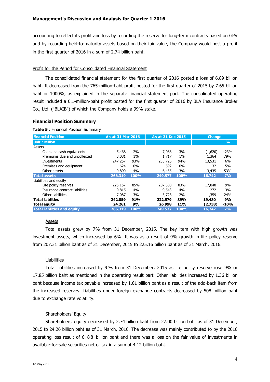accounting to reflect its profit and loss by recording the reserve for long-term contracts based on GPV and by recording held-to-maturity assets based on their fair value, the Company would post a profit in the first quarter of 2016 in a sum of 2.74 billion baht.

# Profit for the Period for Consolidated Financial Statement

The consolidated financial statement for the first quarter of 2016 posted a loss of 6.89 billion baht. It decreased from the 765-million-baht profit posted for the first quarter of 2015 by 7.65 billion baht or 1000%, as explained in the separate financial statement part. The consolidated operating result included a 0.1-million-baht profit posted for the first quarter of 2016 by BLA Insurance Broker Co., Ltd. ("BLAIB") of which the Company holds a 99% stake.

# **Financial Position Summary**

## **Table 5** : Financial Position Summary

| <b>Financial Position</b>           | As at 31 Mar 2016 |       | As at 31 Dec 2015 |           | <b>Change</b> |               |
|-------------------------------------|-------------------|-------|-------------------|-----------|---------------|---------------|
| <b>Unit: Million</b>                |                   |       |                   |           |               | $\frac{0}{0}$ |
| Assets                              |                   |       |                   |           |               |               |
| Cash and cash equivalents           | 5,468             | 2%    | 7,088             | 3%        | (1,620)       | $-23%$        |
| Premiums due and uncollected        | 3,081             | $1\%$ | 1,717             | 1%        | 1,364         | 79%           |
| Investments                         | 247,257           | 93%   | 233,726           | 94%       | 13,531        | 6%            |
| Premises and equipment              | 624               | $0\%$ | 592               | $0\%$     | 32            | 5%            |
| Other assets                        | 9,890             | 4%    | 6,455             | <b>3%</b> | 3,435         | 53%           |
| <b>Total assets</b>                 | 266,319           | 100%  | 249,577           | 100%      | 16,742        | 7%            |
| Liabilities and equity              |                   |       |                   |           |               |               |
| Life policy reserves                | 225,157           | 85%   | 207,308           | 83%       | 17,848        | 9%            |
| Insurance contract liabilities      | 9,815             | 4%    | 9,543             | 4%        | 272           | 3%            |
| Other liabilities                   | 7,087             | 3%    | 5,728             | 2%        | 1,359         | 24%           |
| <b>Total liabilities</b>            | 242,059           | 91%   | 222,579           | 89%       | 19,480        | 9%            |
| <b>Total equity</b>                 | 24,261            | 9%    | 26,998            | 11%       | (2,738)       | $-10%$        |
| <b>Total liabilities and equity</b> | 266,319           | 100%  | 249,577           | 100%      | 16,742        | 7%            |

# **Assets**

Total assets grew by 7% from 31 December, 2015. The key item with high growth was investment assets, which increased by 6%. It was as a result of 9% growth in life policy reserve from 207.31 billion baht as of 31 December, 2015 to 225.16 billion baht as of 31 March, 2016.

# **Liabilities**

Total liabilities increased by 9 % from 31 December, 2015 as life policy reserve rose 9% or 17.85 billion baht as mentioned in the operating result part. Other liabilities increased by 1.36 billion baht because income tax payable increased by 1.61 billion baht as a result of the add-back item from the increased reserves. Liabilities under foreign exchange contracts decreased by 508 million baht due to exchange rate volatility.

# Shareholders' Equity

Shareholders' equity decreased by 2.74 billion baht from 27.00 billion baht as of 31 December, 2015 to 24.26 billion baht as of 31 March, 2016. The decrease was mainly contributed to by the 2016 operating loss result of 6 .8 8 billion baht and there was a loss on the fair value of investments in available-for-sale securities net of tax in a sum of 4.12 billion baht.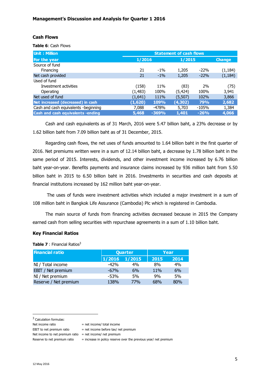## **Cash Flows**

**Table 6**: Cash Flows

| Unit: Million                            | <b>Statement of cash flows</b> |             |          |        |               |
|------------------------------------------|--------------------------------|-------------|----------|--------|---------------|
| For the year                             | 1/2016                         |             | 1/2015   |        | <b>Change</b> |
| Source of fund                           |                                |             |          |        |               |
| Financing                                | 21                             | $-1\%$      | 1,205    | $-22%$ | (1, 184)      |
| Net cash provided                        | 21                             | $-1\%$      | 1,205    | $-22%$ | (1, 184)      |
| Used of fund                             |                                |             |          |        |               |
| Investment activities                    | (158)                          | 11%         | (83)     | 2%     | (75)          |
| Operating                                | (1, 483)                       | 100%        | (5, 424) | 100%   | 3,941         |
| Net used of fund                         | (1,641)                        | 111%        | (5, 507) | 102%   | 3,866         |
| Net increased (decreased) in cash        | (1,620)                        | <b>109%</b> | (4, 302) | 79%    | 2,682         |
| Cash and cash equivalents -beginning     | 7,088                          | $-478%$     | 5,703    | -105%  | 1,384         |
| <b>Cash and cash equivalents -ending</b> | 5,468                          | $-369%$     | 1,401    | $-26%$ | 4,066         |

Cash and cash equivalents as of 31 March, 2016 were 5.47 billion baht, a 23% decrease or by 1.62 billion baht from 7.09 billion baht as of 31 December, 2015.

Regarding cash flows, the net uses of funds amounted to 1.64 billion baht in the first quarter of 2016. Net premiums written were in a sum of 12.14 billion baht, a decrease by 1.78 billion baht in the same period of 2015. Interests, dividends, and other investment income increased by 6.76 billion baht year-on-year. Benefits payments and insurance claims increased by 936 million baht from 5.50 billion baht in 2015 to 6.50 billion baht in 2016. Investments in securities and cash deposits at financial institutions increased by 162 million baht year-on-year.

 The uses of funds were investment activities which included a major investment in a sum of 108 million baht in Bangkok Life Assurance (Cambodia) Plc which is registered in Cambodia.

The main source of funds from financing activities decreased because in 2015 the Company earned cash from selling securities with repurchase agreements in a sum of 1.10 billion baht.

# **Key Financial Ratios**

**Table 7** : Financial Ratios<sup>3</sup>

| <b>Financial ratio</b> | <b>Quarter</b>    |            | Year |      |  |
|------------------------|-------------------|------------|------|------|--|
|                        | $1/2016$ $1/2015$ |            | 2015 | 2014 |  |
| NI / Total income      | $-42%$            | 4%         | 8%   | 4%   |  |
| EBIT / Net premium     | $-67%$            | 6%         | 11%  | 6%   |  |
| NI / Net premium       | $-53%$            | 5%         | 9%   | 5%   |  |
| Reserve / Net premium  | 138%              | <b>77%</b> | 68%  | 80%  |  |

<sup>3</sup> Calculation formulas:

l

EBIT to net premium ratio  $=$  net income before tax/ net premium

Net income to net premium ratio = net income/ net premium

Reserve to net premium ratio  $=$  increase in policy reserve over the previous year/ net premium

Net income ratio  $=$  net income/ total income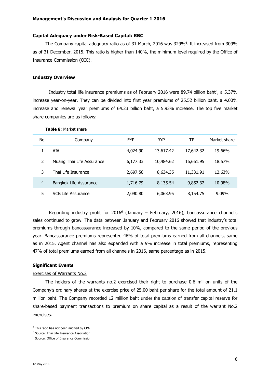#### **Capital Adequacy under Risk-Based Capital: RBC**

The Company capital adequacy ratio as of 31 March, 2016 was 329%<sup>4</sup> . It increased from 309% as of 31 December, 2015. This ratio is higher than 140%, the minimum level required by the Office of Insurance Commission (OIC).

#### **Industry Overview**

Industry total life insurance premiums as of February 2016 were 89.74 billion baht<sup>5</sup>, a 5.37% increase year-on-year. They can be divided into first year premiums of 25.52 billion baht, a 4.00% increase and renewal year premiums of 64.23 billion baht, a 5.93% increase. The top five market share companies are as follows:

| No.           | Company                   | <b>FYP</b> | <b>RYP</b> | ТP        | Market share |
|---------------|---------------------------|------------|------------|-----------|--------------|
|               | AIA                       | 4,024.90   | 13,617.42  | 17,642.32 | 19.66%       |
| $\mathcal{P}$ | Muang Thai Life Assurance | 6,177.33   | 10,484.62  | 16,661.95 | 18.57%       |
| 3             | Thai Life Insurance       | 2,697.56   | 8,634.35   | 11,331.91 | 12.63%       |
| 4             | Bangkok Life Assurance    | 1,716.79   | 8,135.54   | 9,852.32  | 10.98%       |
| 5             | <b>SCB Life Assurance</b> | 2,090.80   | 6,063.95   | 8,154.75  | $9.09\%$     |

**Table 8**: Market share

Regarding industry profit for  $2016^6$  (January – February, 2016), bancassurance channel's sales continued to grow. The data between January and February 2016 showed that industry's total premiums through bancassurance increased by 10%, compared to the same period of the previous year. Bancassurance premiums represented 46% of total premiums earned from all channels, same as in 2015. Agent channel has also expanded with a 9% increase in total premiums, representing 47% of total premiums earned from all channels in 2016, same percentage as in 2015.

## **Significant Events**

#### Exercises of Warrants No.2

The holders of the warrants no.2 exercised their right to purchase 0.6 million units of the Company's ordinary shares at the exercise price of 25.00 baht per share for the total amount of 21.1 million baht. The Company recorded 12 million baht under the caption of transfer capital reserve for share-based payment transactions to premium on share capital as a result of the warrant No.2 exercises.

 $\overline{a}$ 

<sup>&</sup>lt;sup>4</sup> This ratio has not been audited by CPA.

<sup>&</sup>lt;sup>5</sup> Source: Thai Life Insurance Association

<sup>&</sup>lt;sup>6</sup> Source: Office of Insurance Commission